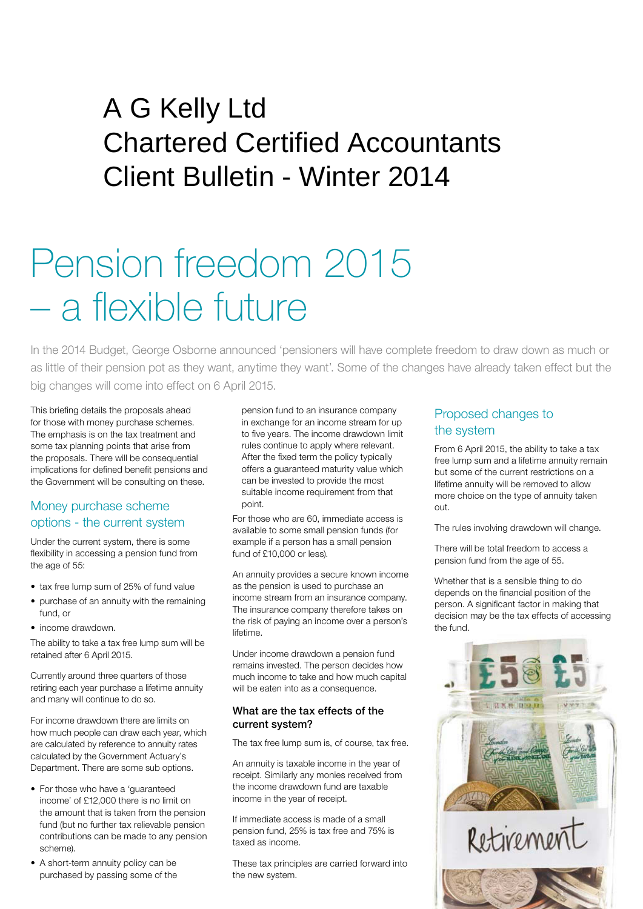# $P$  and  $P$  and  $P$  is the correction  $P$ A G Kelly Ltd Chartered Certified Accountants Client Bulletin - Winter 2014

# Pension freedom 2015 – a flexible future

In the 2014 Budget, George Osborne announced 'pensioners will have complete freedom to draw down as much or as little of their pension pot as they want, anytime they want'. Some of the changes have already taken effect but the big changes will come into effect on 6 April 2015.

This briefing details the proposals ahead for those with money purchase schemes. The emphasis is on the tax treatment and some tax planning points that arise from the proposals. There will be consequential implications for defined benefit pensions and the Government will be consulting on these.

# Money purchase scheme options - the current system

Under the current system, there is some flexibility in accessing a pension fund from the age of 55:

- tax free lump sum of 25% of fund value
- purchase of an annuity with the remaining fund, or
- income drawdown.

The ability to take a tax free lump sum will be retained after 6 April 2015.

Currently around three quarters of those retiring each year purchase a lifetime annuity and many will continue to do so.

For income drawdown there are limits on how much people can draw each year, which are calculated by reference to annuity rates calculated by the Government Actuary's Department. There are some sub options.

- For those who have a 'guaranteed income' of £12,000 there is no limit on the amount that is taken from the pension fund (but no further tax relievable pension contributions can be made to any pension scheme).
- A short-term annuity policy can be purchased by passing some of the

pension fund to an insurance company in exchange for an income stream for up to five years. The income drawdown limit rules continue to apply where relevant. After the fixed term the policy typically offers a guaranteed maturity value which can be invested to provide the most suitable income requirement from that point.

For those who are 60, immediate access is available to some small pension funds (for example if a person has a small pension fund of £10,000 or less).

An annuity provides a secure known income as the pension is used to purchase an income stream from an insurance company. The insurance company therefore takes on the risk of paying an income over a person's lifetime.

Under income drawdown a pension fund remains invested. The person decides how much income to take and how much capital will be eaten into as a consequence.

## What are the tax effects of the current system?

The tax free lump sum is, of course, tax free.

An annuity is taxable income in the year of receipt. Similarly any monies received from the income drawdown fund are taxable income in the year of receipt.

If immediate access is made of a small pension fund, 25% is tax free and 75% is taxed as income.

These tax principles are carried forward into the new system.

# Proposed changes to the system

From 6 April 2015, the ability to take a tax free lump sum and a lifetime annuity remain but some of the current restrictions on a lifetime annuity will be removed to allow more choice on the type of annuity taken out.

The rules involving drawdown will change.

There will be total freedom to access a pension fund from the age of 55.

Whether that is a sensible thing to do depends on the financial position of the person. A significant factor in making that decision may be the tax effects of accessing the fund.